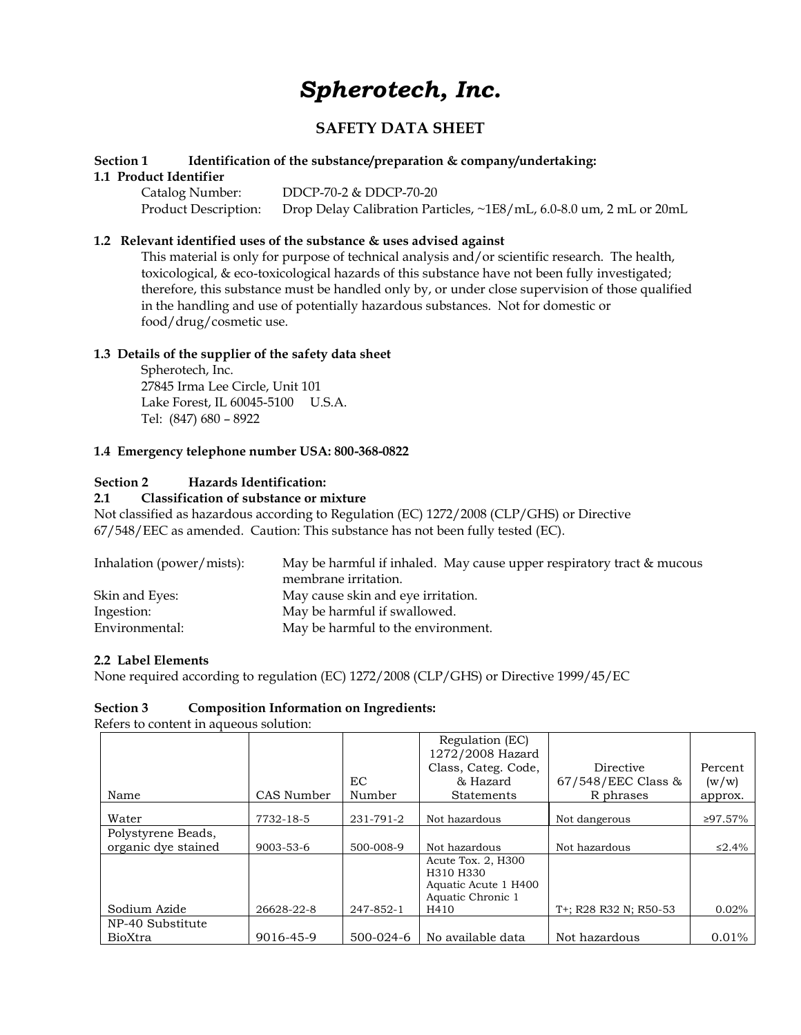# *Spherotech, Inc.*

# **SAFETY DATA SHEET**

#### **Section 1 Identification of the substance/preparation & company/undertaking:**

## **1.1 Product Identifier**

Catalog Number: DDCP-70-2 & DDCP-70-20 Product Description: Drop Delay Calibration Particles, ~1E8/mL, 6.0-8.0 um, 2 mL or 20mL

# **1.2 Relevant identified uses of the substance & uses advised against**

This material is only for purpose of technical analysis and/or scientific research. The health, toxicological, & eco-toxicological hazards of this substance have not been fully investigated; therefore, this substance must be handled only by, or under close supervision of those qualified in the handling and use of potentially hazardous substances. Not for domestic or food/drug/cosmetic use.

## **1.3 Details of the supplier of the safety data sheet**

Spherotech, Inc. 27845 Irma Lee Circle, Unit 101 Lake Forest, IL 60045-5100 U.S.A. Tel: (847) 680 – 8922

#### **1.4 Emergency telephone number USA: 800-368-0822**

# **Section 2 Hazards Identification:**

#### **2.1 Classification of substance or mixture**

Not classified as hazardous according to Regulation (EC) 1272/2008 (CLP/GHS) or Directive 67/548/EEC as amended. Caution: This substance has not been fully tested (EC).

| Inhalation (power/mists): | May be harmful if inhaled. May cause upper respiratory tract & mucous<br>membrane irritation. |
|---------------------------|-----------------------------------------------------------------------------------------------|
| Skin and Eyes:            | May cause skin and eye irritation.                                                            |
| Ingestion:                | May be harmful if swallowed.                                                                  |
| Environmental:            | May be harmful to the environment.                                                            |

## **2.2 Label Elements**

None required according to regulation (EC) 1272/2008 (CLP/GHS) or Directive 1999/45/EC

# **Section 3 Composition Information on Ingredients:**

Refers to content in aqueous solution:

|                     |            |           | Regulation (EC)                                                              |                       |         |
|---------------------|------------|-----------|------------------------------------------------------------------------------|-----------------------|---------|
|                     |            |           | 1272/2008 Hazard                                                             |                       |         |
|                     |            |           | Class, Categ. Code,                                                          | Directive             | Percent |
|                     |            | EC.       | & Hazard                                                                     | 67/548/EEC Class &    | (w/w)   |
| Name                | CAS Number | Number    | <b>Statements</b>                                                            | R phrases             | approx. |
| Water               | 7732-18-5  | 231-791-2 | Not hazardous                                                                | Not dangerous         | ≥97.57% |
| Polystyrene Beads,  |            |           |                                                                              |                       |         |
| organic dye stained | 9003-53-6  | 500-008-9 | Not hazardous                                                                | Not hazardous         | ≤2.4%   |
|                     |            |           | Acute Tox. 2, H300<br>H310 H330<br>Aquatic Acute 1 H400<br>Aquatic Chronic 1 |                       |         |
| Sodium Azide        | 26628-22-8 | 247-852-1 | H410                                                                         | T+: R28 R32 N: R50-53 | 0.02%   |
| NP-40 Substitute    |            |           |                                                                              |                       |         |
| BioXtra             | 9016-45-9  | 500-024-6 | No available data                                                            | Not hazardous         | 0.01%   |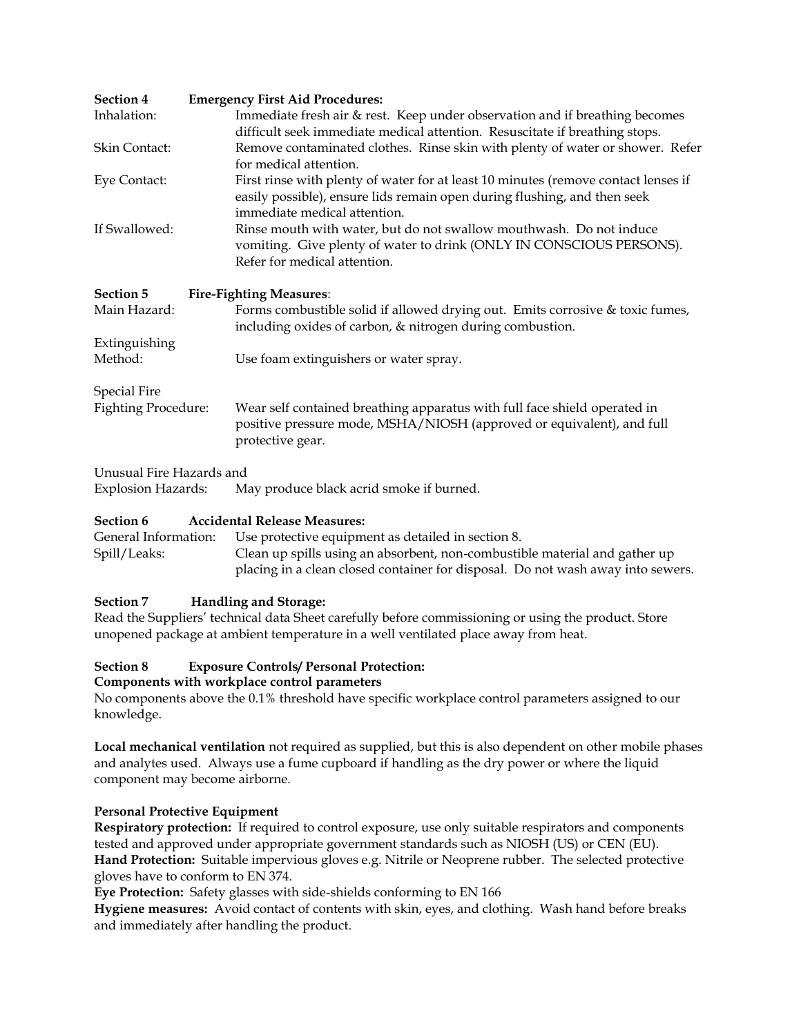| Section 4                  | <b>Emergency First Aid Procedures:</b>                                                                                                                                                         |
|----------------------------|------------------------------------------------------------------------------------------------------------------------------------------------------------------------------------------------|
| Inhalation:                | Immediate fresh air & rest. Keep under observation and if breathing becomes<br>difficult seek immediate medical attention. Resuscitate if breathing stops.                                     |
| <b>Skin Contact:</b>       | Remove contaminated clothes. Rinse skin with plenty of water or shower. Refer<br>for medical attention.                                                                                        |
| Eye Contact:               | First rinse with plenty of water for at least 10 minutes (remove contact lenses if<br>easily possible), ensure lids remain open during flushing, and then seek<br>immediate medical attention. |
| If Swallowed:              | Rinse mouth with water, but do not swallow mouthwash. Do not induce<br>vomiting. Give plenty of water to drink (ONLY IN CONSCIOUS PERSONS).<br>Refer for medical attention.                    |
| <b>Section 5</b>           | <b>Fire-Fighting Measures:</b>                                                                                                                                                                 |
| Main Hazard:               | Forms combustible solid if allowed drying out. Emits corrosive & toxic fumes,<br>including oxides of carbon, & nitrogen during combustion.                                                     |
| Extinguishing              |                                                                                                                                                                                                |
| Method:                    | Use foam extinguishers or water spray.                                                                                                                                                         |
| <b>Special Fire</b>        |                                                                                                                                                                                                |
| <b>Fighting Procedure:</b> | Wear self contained breathing apparatus with full face shield operated in<br>positive pressure mode, MSHA/NIOSH (approved or equivalent), and full<br>protective gear.                         |
| Unusual Fire Hazards and   |                                                                                                                                                                                                |
| <b>Explosion Hazards:</b>  | May produce black acrid smoke if burned.                                                                                                                                                       |
| <b>Section 6</b>           | <b>Accidental Release Measures:</b>                                                                                                                                                            |

| General Information: | Use protective equipment as detailed in section 8.                              |
|----------------------|---------------------------------------------------------------------------------|
| Spill/Leaks:         | Clean up spills using an absorbent, non-combustible material and gather up      |
|                      | placing in a clean closed container for disposal. Do not wash away into sewers. |

## **Section 7 Handling and Storage:**

Read the Suppliers' technical data Sheet carefully before commissioning or using the product. Store unopened package at ambient temperature in a well ventilated place away from heat.

## **Section 8 Exposure Controls/ Personal Protection:**

#### **Components with workplace control parameters**

No components above the 0.1% threshold have specific workplace control parameters assigned to our knowledge.

**Local mechanical ventilation** not required as supplied, but this is also dependent on other mobile phases and analytes used. Always use a fume cupboard if handling as the dry power or where the liquid component may become airborne.

#### **Personal Protective Equipment**

**Respiratory protection:** If required to control exposure, use only suitable respirators and components tested and approved under appropriate government standards such as NIOSH (US) or CEN (EU). **Hand Protection:** Suitable impervious gloves e.g. Nitrile or Neoprene rubber. The selected protective gloves have to conform to EN 374.

**Eye Protection:** Safety glasses with side-shields conforming to EN 166

**Hygiene measures:** Avoid contact of contents with skin, eyes, and clothing. Wash hand before breaks and immediately after handling the product.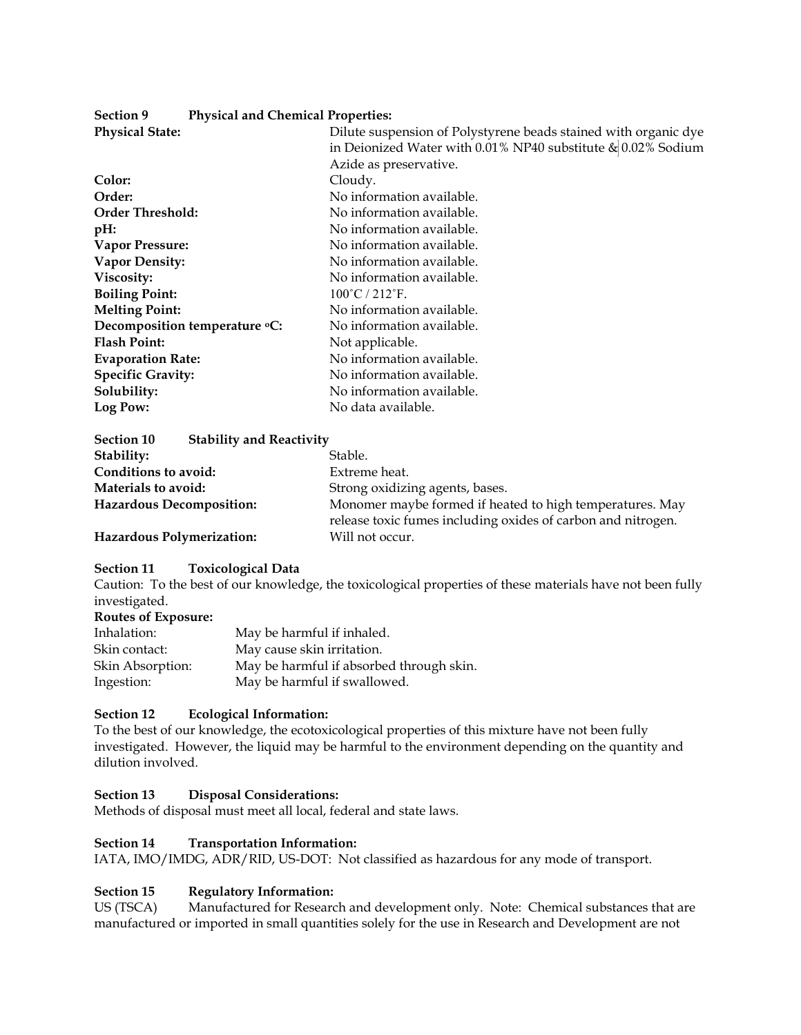| <b>Section 9</b> | <b>Physical and Chemical Properties:</b> |  |
|------------------|------------------------------------------|--|
|                  |                                          |  |

| <b>Physical State:</b>        | Dilute suspension of Polystyrene beads stained with organic dye |
|-------------------------------|-----------------------------------------------------------------|
|                               | in Deionized Water with 0.01% NP40 substitute $\&$ 0.02% Sodium |
|                               | Azide as preservative.                                          |
| Color:                        | Cloudy.                                                         |
| Order:                        | No information available.                                       |
| <b>Order Threshold:</b>       | No information available.                                       |
| pH:                           | No information available.                                       |
| <b>Vapor Pressure:</b>        | No information available.                                       |
| <b>Vapor Density:</b>         | No information available.                                       |
| Viscosity:                    | No information available.                                       |
| <b>Boiling Point:</b>         | $100^{\circ}$ C / 212 $^{\circ}$ F.                             |
| <b>Melting Point:</b>         | No information available.                                       |
| Decomposition temperature °C: | No information available.                                       |
| <b>Flash Point:</b>           | Not applicable.                                                 |
| <b>Evaporation Rate:</b>      | No information available.                                       |
| <b>Specific Gravity:</b>      | No information available.                                       |
| Solubility:                   | No information available.                                       |
| Log Pow:                      | No data available.                                              |

| <b>Section 10</b>                | <b>Stability and Reactivity</b> |                                                                                                                          |
|----------------------------------|---------------------------------|--------------------------------------------------------------------------------------------------------------------------|
| Stability:                       |                                 | Stable.                                                                                                                  |
| Conditions to avoid:             |                                 | Extreme heat.                                                                                                            |
| Materials to avoid:              |                                 | Strong oxidizing agents, bases.                                                                                          |
| <b>Hazardous Decomposition:</b>  |                                 | Monomer maybe formed if heated to high temperatures. May<br>release toxic fumes including oxides of carbon and nitrogen. |
| <b>Hazardous Polymerization:</b> |                                 | Will not occur.                                                                                                          |

#### **Section 11 Toxicological Data**

Caution: To the best of our knowledge, the toxicological properties of these materials have not been fully investigated.

|  | <b>Routes of Exposure:</b> |  |
|--|----------------------------|--|

| Inhalation:      | May be harmful if inhaled.               |
|------------------|------------------------------------------|
| Skin contact:    | May cause skin irritation.               |
| Skin Absorption: | May be harmful if absorbed through skin. |
| Ingestion:       | May be harmful if swallowed.             |

# **Section 12 Ecological Information:**

To the best of our knowledge, the ecotoxicological properties of this mixture have not been fully investigated. However, the liquid may be harmful to the environment depending on the quantity and dilution involved.

#### **Section 13 Disposal Considerations:**

Methods of disposal must meet all local, federal and state laws.

#### **Section 14 Transportation Information:**

IATA, IMO/IMDG, ADR/RID, US-DOT: Not classified as hazardous for any mode of transport.

# **Section 15 Regulatory Information:**

US (TSCA) Manufactured for Research and development only. Note: Chemical substances that are manufactured or imported in small quantities solely for the use in Research and Development are not